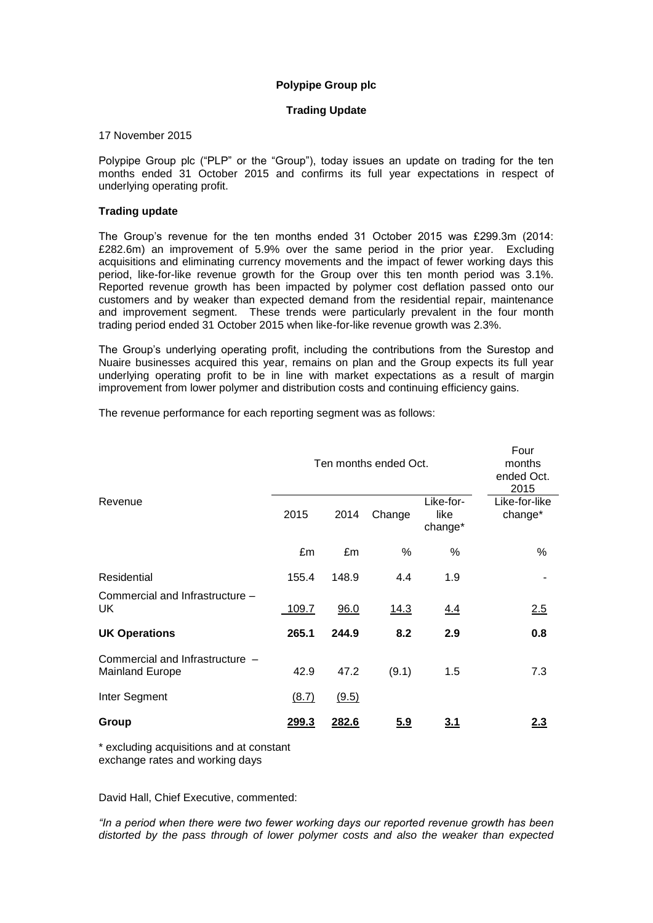# **Polypipe Group plc**

# **Trading Update**

### 17 November 2015

Polypipe Group plc ("PLP" or the "Group"), today issues an update on trading for the ten months ended 31 October 2015 and confirms its full year expectations in respect of underlying operating profit.

## **Trading update**

The Group's revenue for the ten months ended 31 October 2015 was £299.3m (2014: £282.6m) an improvement of 5.9% over the same period in the prior year. Excluding acquisitions and eliminating currency movements and the impact of fewer working days this period, like-for-like revenue growth for the Group over this ten month period was 3.1%. Reported revenue growth has been impacted by polymer cost deflation passed onto our customers and by weaker than expected demand from the residential repair, maintenance and improvement segment. These trends were particularly prevalent in the four month trading period ended 31 October 2015 when like-for-like revenue growth was 2.3%.

The Group's underlying operating profit, including the contributions from the Surestop and Nuaire businesses acquired this year, remains on plan and the Group expects its full year underlying operating profit to be in line with market expectations as a result of margin improvement from lower polymer and distribution costs and continuing efficiency gains.

The revenue performance for each reporting segment was as follows:

|                                                           | Ten months ended Oct. |       |        |                              | Four<br>months<br>ended Oct.<br>2015 |
|-----------------------------------------------------------|-----------------------|-------|--------|------------------------------|--------------------------------------|
| Revenue                                                   | 2015                  | 2014  | Change | Like-for-<br>like<br>change* | Like-for-like<br>change*             |
|                                                           | £m                    | £m    | %      | %                            | %                                    |
| Residential                                               | 155.4                 | 148.9 | 4.4    | 1.9                          |                                      |
| Commercial and Infrastructure -<br>UK                     | 109.7                 | 96.0  | 14.3   | 4.4                          | 2.5                                  |
| <b>UK Operations</b>                                      | 265.1                 | 244.9 | 8.2    | 2.9                          | 0.8                                  |
| Commercial and Infrastructure -<br><b>Mainland Europe</b> | 42.9                  | 47.2  | (9.1)  | 1.5                          | 7.3                                  |
| Inter Segment                                             | (8.7)                 | (9.5) |        |                              |                                      |
| Group                                                     | 299.3                 | 282.6 | 5.9    | <u>3.1</u>                   | 2.3                                  |

\* excluding acquisitions and at constant exchange rates and working days

David Hall, Chief Executive, commented:

*"In a period when there were two fewer working days our reported revenue growth has been distorted by the pass through of lower polymer costs and also the weaker than expected*